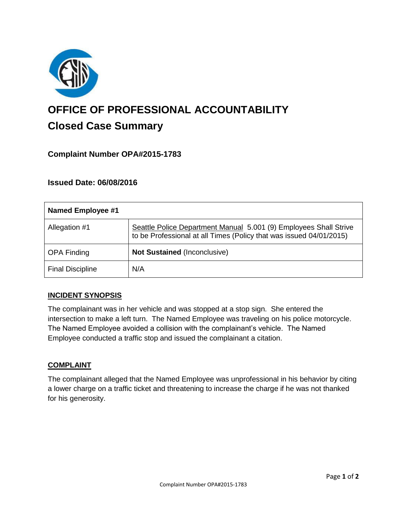

# **OFFICE OF PROFESSIONAL ACCOUNTABILITY Closed Case Summary**

# **Complaint Number OPA#2015-1783**

## **Issued Date: 06/08/2016**

| <b>Named Employee #1</b> |                                                                                                                                          |
|--------------------------|------------------------------------------------------------------------------------------------------------------------------------------|
| Allegation #1            | Seattle Police Department Manual 5.001 (9) Employees Shall Strive<br>to be Professional at all Times (Policy that was issued 04/01/2015) |
| <b>OPA Finding</b>       | <b>Not Sustained (Inconclusive)</b>                                                                                                      |
| <b>Final Discipline</b>  | N/A                                                                                                                                      |

#### **INCIDENT SYNOPSIS**

The complainant was in her vehicle and was stopped at a stop sign. She entered the intersection to make a left turn. The Named Employee was traveling on his police motorcycle. The Named Employee avoided a collision with the complainant's vehicle. The Named Employee conducted a traffic stop and issued the complainant a citation.

#### **COMPLAINT**

The complainant alleged that the Named Employee was unprofessional in his behavior by citing a lower charge on a traffic ticket and threatening to increase the charge if he was not thanked for his generosity.